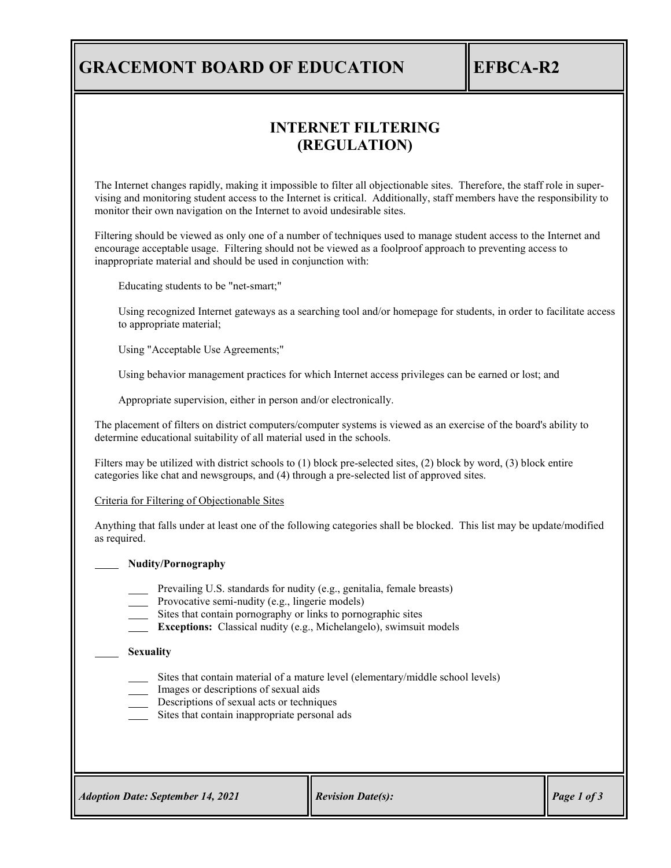## **GRACEMONT BOARD OF EDUCATION EFBCA-R2**

## **INTERNET FILTERING (REGULATION)**

The Internet changes rapidly, making it impossible to filter all objectionable sites. Therefore, the staff role in supervising and monitoring student access to the Internet is critical. Additionally, staff members have the responsibility to monitor their own navigation on the Internet to avoid undesirable sites.

Filtering should be viewed as only one of a number of techniques used to manage student access to the Internet and encourage acceptable usage. Filtering should not be viewed as a foolproof approach to preventing access to inappropriate material and should be used in conjunction with:

Educating students to be "net-smart;"

Using recognized Internet gateways as a searching tool and/or homepage for students, in order to facilitate access to appropriate material;

Using "Acceptable Use Agreements;"

Using behavior management practices for which Internet access privileges can be earned or lost; and

Appropriate supervision, either in person and/or electronically.

The placement of filters on district computers/computer systems is viewed as an exercise of the board's ability to determine educational suitability of all material used in the schools.

Filters may be utilized with district schools to (1) block pre-selected sites, (2) block by word, (3) block entire categories like chat and newsgroups, and (4) through a pre-selected list of approved sites.

Criteria for Filtering of Objectionable Sites

Anything that falls under at least one of the following categories shall be blocked. This list may be update/modified as required.

## **Nudity/Pornography**

- Prevailing U.S. standards for nudity (e.g., genitalia, female breasts)
- Provocative semi-nudity (e.g., lingerie models)
- sites that contain pornography or links to pornographic sites
- **Exceptions:** Classical nudity (e.g., Michelangelo), swimsuit models

## **Sexuality**

- Sites that contain material of a mature level (elementary/middle school levels)
- Images or descriptions of sexual aids
- Descriptions of sexual acts or techniques
- Sites that contain inappropriate personal ads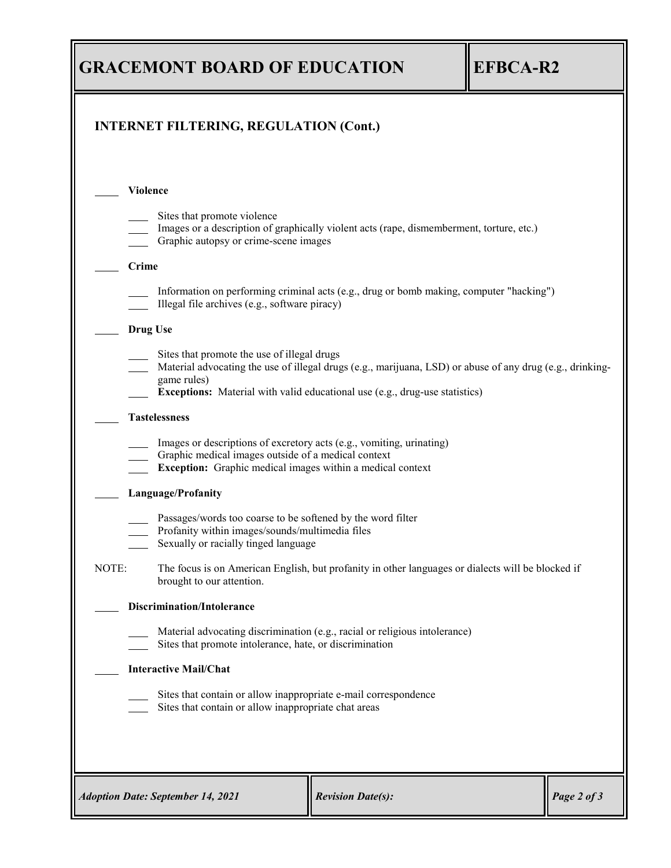| <b>GRACEMONT BOARD OF EDUCATION</b>                                                                                                                                                                                                                           | <b>EFBCA-R2</b>                                                                                                                                                                                  |                          |  |             |  |  |
|---------------------------------------------------------------------------------------------------------------------------------------------------------------------------------------------------------------------------------------------------------------|--------------------------------------------------------------------------------------------------------------------------------------------------------------------------------------------------|--------------------------|--|-------------|--|--|
| <b>INTERNET FILTERING, REGULATION (Cont.)</b>                                                                                                                                                                                                                 |                                                                                                                                                                                                  |                          |  |             |  |  |
| <b>Violence</b>                                                                                                                                                                                                                                               |                                                                                                                                                                                                  |                          |  |             |  |  |
|                                                                                                                                                                                                                                                               | Sites that promote violence<br>Images or a description of graphically violent acts (rape, dismemberment, torture, etc.)<br>Graphic autopsy or crime-scene images                                 |                          |  |             |  |  |
| Crime                                                                                                                                                                                                                                                         |                                                                                                                                                                                                  |                          |  |             |  |  |
| Information on performing criminal acts (e.g., drug or bomb making, computer "hacking")<br>Illegal file archives (e.g., software piracy)                                                                                                                      |                                                                                                                                                                                                  |                          |  |             |  |  |
| <b>Drug Use</b>                                                                                                                                                                                                                                               |                                                                                                                                                                                                  |                          |  |             |  |  |
| Sites that promote the use of illegal drugs<br>Material advocating the use of illegal drugs (e.g., marijuana, LSD) or abuse of any drug (e.g., drinking-<br>game rules)<br><b>Exceptions:</b> Material with valid educational use (e.g., drug-use statistics) |                                                                                                                                                                                                  |                          |  |             |  |  |
| <b>Tastelessness</b>                                                                                                                                                                                                                                          |                                                                                                                                                                                                  |                          |  |             |  |  |
|                                                                                                                                                                                                                                                               | Images or descriptions of excretory acts (e.g., vomiting, urinating)<br>Graphic medical images outside of a medical context<br><b>Exception:</b> Graphic medical images within a medical context |                          |  |             |  |  |
| Language/Profanity                                                                                                                                                                                                                                            |                                                                                                                                                                                                  |                          |  |             |  |  |
| Passages/words too coarse to be softened by the word filter<br>Profanity within images/sounds/multimedia files<br>Sexually or racially tinged language                                                                                                        |                                                                                                                                                                                                  |                          |  |             |  |  |
| NOTE:                                                                                                                                                                                                                                                         | The focus is on American English, but profanity in other languages or dialects will be blocked if<br>brought to our attention.                                                                   |                          |  |             |  |  |
| <b>Discrimination/Intolerance</b>                                                                                                                                                                                                                             |                                                                                                                                                                                                  |                          |  |             |  |  |
| Material advocating discrimination (e.g., racial or religious intolerance)<br>Sites that promote intolerance, hate, or discrimination                                                                                                                         |                                                                                                                                                                                                  |                          |  |             |  |  |
| <b>Interactive Mail/Chat</b>                                                                                                                                                                                                                                  |                                                                                                                                                                                                  |                          |  |             |  |  |
| Sites that contain or allow inappropriate e-mail correspondence<br>Sites that contain or allow inappropriate chat areas                                                                                                                                       |                                                                                                                                                                                                  |                          |  |             |  |  |
|                                                                                                                                                                                                                                                               |                                                                                                                                                                                                  |                          |  |             |  |  |
| <b>Adoption Date: September 14, 2021</b>                                                                                                                                                                                                                      |                                                                                                                                                                                                  | <b>Revision Date(s):</b> |  | Page 2 of 3 |  |  |